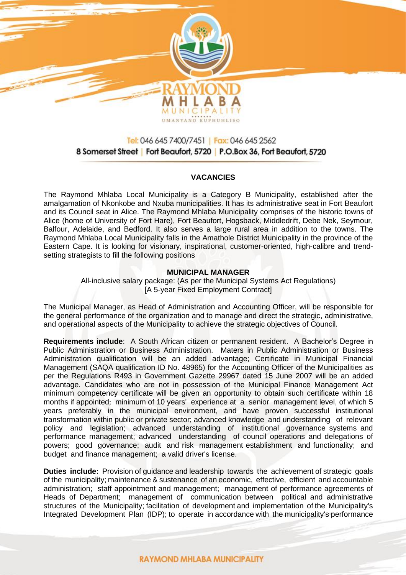

# Tel: 046 645 7400/7451 | Fax: 046 645 2562 8 Somerset Street | Fort Beaufort, 5720 | P.O.Box 36, Fort Beaufort, 5720

## **VACANCIES**

The Raymond Mhlaba Local Municipality is a Category B Municipality, established after the amalgamation of Nkonkobe and Nxuba municipalities. It has its administrative seat in Fort Beaufort and its Council seat in Alice. The Raymond Mhlaba Municipality comprises of the historic towns of Alice (home of University of Fort Hare), Fort Beaufort, Hogsback, Middledrift, Debe Nek, Seymour, Balfour, Adelaide, and Bedford. It also serves a large rural area in addition to the towns. The Raymond Mhlaba Local Municipality falls in the Amathole District Municipality in the province of the Eastern Cape. It is looking for visionary, inspirational, customer-oriented, high-calibre and trendsetting strategists to fill the following positions

#### **MUNICIPAL MANAGER**

All-inclusive salary package: (As per the Municipal Systems Act Regulations) [A 5-year Fixed Employment Contract]

The Municipal Manager, as Head of Administration and Accounting Officer, will be responsible for the general performance of the organization and to manage and direct the strategic, administrative, and operational aspects of the Municipality to achieve the strategic objectives of Council.

**Requirements include**: A South African citizen or permanent resident. A Bachelor's Degree in Public Administration or Business Administration. Maters in Public Administration or Business Administration qualification will be an added advantage; Certificate in Municipal Financial Management (SAQA qualification ID No. 48965) for the Accounting Officer of the Municipalities as per the Regulations R493 in Government Gazette 29967 dated 15 June 2007 will be an added advantage. Candidates who are not in possession of the Municipal Finance Management Act minimum competency certificate will be given an opportunity to obtain such certificate within 18 months if appointed; minimum of 10 years' experience at a senior management level, of which 5 years preferably in the municipal environment, and have proven successful institutional transformation within public or private sector; advanced knowledge and understanding of relevant policy and legislation; advanced understanding of institutional governance systems and performance management; advanced understanding of council operations and delegations of powers; good governance; audit and risk management establishment and functionality; and budget and finance management; a valid driver's license.

**Duties include:** Provision of guidance and leadership towards the achievement of strategic goals of the municipality; maintenance & sustenance of an economic, effective, efficient and accountable administration; staff appointment and management; management of performance agreements of Heads of Department; management of communication between political and administrative structures of the Municipality; facilitation of development and implementation of the Municipality's Integrated Development Plan (IDP); to operate in accordance with the municipality's performance

## **RAYMOND MHLABA MUNICIPALITY**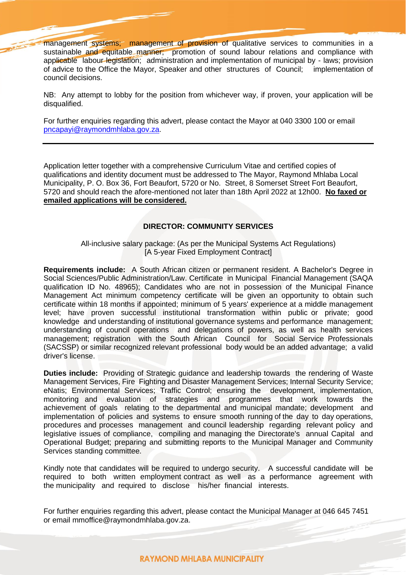management systems; management of provision of qualitative services to communities in a sustainable and equitable manner; promotion of sound labour relations and compliance with applicable labour legislation; administration and implementation of municipal by - laws; provision of advice to the Office the Mayor, Speaker and other structures of Council; implementation of council decisions.

NB: Any attempt to lobby for the position from whichever way, if proven, your application will be disqualified.

For further enquiries regarding this advert, please contact the Mayor at 040 3300 100 or email [pncapayi@raymondmhlaba.gov.za.](mailto:pncapayi@raymondmhlaba.gov.za)

Application letter together with a comprehensive Curriculum Vitae and certified copies of qualifications and identity document must be addressed to The Mayor, Raymond Mhlaba Local Municipality, P. O. Box 36, Fort Beaufort, 5720 or No. Street, 8 Somerset Street Fort Beaufort, 5720 and should reach the afore-mentioned not later than 18th April 2022 at 12h00. **No faxed or emailed applications will be considered.**

### **DIRECTOR: COMMUNITY SERVICES**

All-inclusive salary package: (As per the Municipal Systems Act Regulations) [A 5-year Fixed Employment Contract]

**Requirements include:** A South African citizen or permanent resident. A Bachelor's Degree in Social Sciences/Public Administration/Law. Certificate in Municipal Financial Management (SAQA qualification ID No. 48965); Candidates who are not in possession of the Municipal Finance Management Act minimum competency certificate will be given an opportunity to obtain such certificate within 18 months if appointed; minimum of 5 years' experience at a middle management level; have proven successful institutional transformation within public or private; good knowledge and understanding of institutional governance systems and performance management; understanding of council operations and delegations of powers, as well as health services management; registration with the South African Council for Social Service Professionals (SACSSP) or similar recognized relevant professional body would be an added advantage; a valid driver's license.

**Duties include:** Providing of Strategic guidance and leadership towards the rendering of Waste Management Services, Fire Fighting and Disaster Management Services; Internal Security Service; eNatis; Environmental Services; Traffic Control; ensuring the development, implementation, monitoring and evaluation of strategies and programmes that work towards the achievement of goals relating to the departmental and municipal mandate; development and implementation of policies and systems to ensure smooth running of the day to day operations, procedures and processes management and council leadership regarding relevant policy and legislative issues of compliance, compiling and managing the Directorate's annual Capital and Operational Budget; preparing and submitting reports to the Municipal Manager and Community Services standing committee.

Kindly note that candidates will be required to undergo security. A successful candidate will be required to both written employment contract as well as a performance agreement with the municipality and required to disclose his/her financial interests.

For further enquiries regarding this advert, please contact the Municipal Manager at 046 645 7451 or email mmoffice@raymondmhlaba.gov.za.